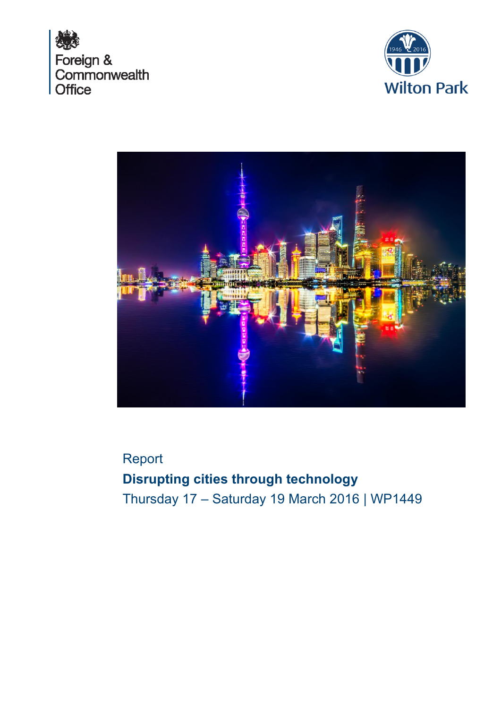





Report **Disrupting cities through technology** Thursday 17 – Saturday 19 March 2016 | WP1449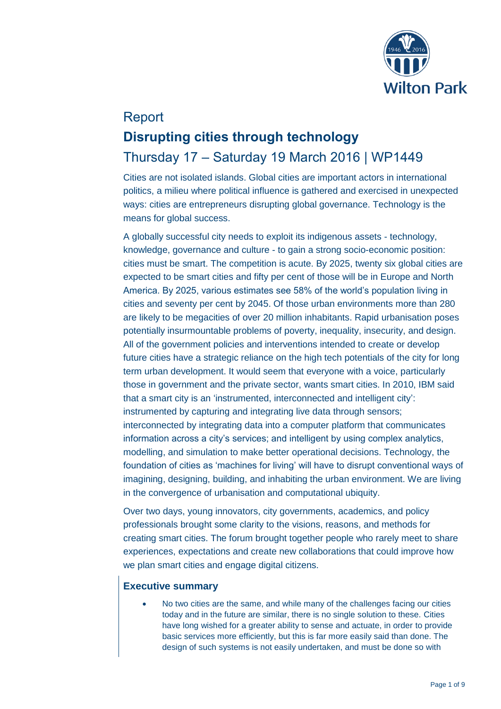

# Report **Disrupting cities through technology** Thursday 17 – Saturday 19 March 2016 | WP1449

Cities are not isolated islands. Global cities are important actors in international politics, a milieu where political influence is gathered and exercised in unexpected ways: cities are entrepreneurs disrupting global governance. Technology is the means for global success.

A globally successful city needs to exploit its indigenous assets - technology, knowledge, governance and culture - to gain a strong socio-economic position: cities must be smart. The competition is acute. By 2025, twenty six global cities are expected to be smart cities and fifty per cent of those will be in Europe and North America. By 2025, various estimates see 58% of the world's population living in cities and seventy per cent by 2045. Of those urban environments more than 280 are likely to be megacities of over 20 million inhabitants. Rapid urbanisation poses potentially insurmountable problems of poverty, inequality, insecurity, and design. All of the government policies and interventions intended to create or develop future cities have a strategic reliance on the high tech potentials of the city for long term urban development. It would seem that everyone with a voice, particularly those in government and the private sector, wants smart cities. In 2010, IBM said that a smart city is an 'instrumented, interconnected and intelligent city': instrumented by capturing and integrating live data through sensors; interconnected by integrating data into a computer platform that communicates information across a city's services; and intelligent by using complex analytics, modelling, and simulation to make better operational decisions. Technology, the foundation of cities as 'machines for living' will have to disrupt conventional ways of imagining, designing, building, and inhabiting the urban environment. We are living in the convergence of urbanisation and computational ubiquity.

Over two days, young innovators, city governments, academics, and policy professionals brought some clarity to the visions, reasons, and methods for creating smart cities. The forum brought together people who rarely meet to share experiences, expectations and create new collaborations that could improve how we plan smart cities and engage digital citizens.

# **Executive summary**

 No two cities are the same, and while many of the challenges facing our cities today and in the future are similar, there is no single solution to these. Cities have long wished for a greater ability to sense and actuate, in order to provide basic services more efficiently, but this is far more easily said than done. The design of such systems is not easily undertaken, and must be done so with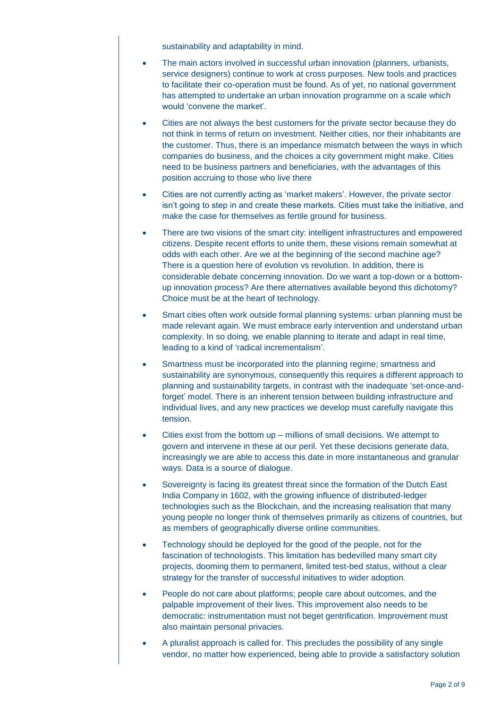sustainability and adaptability in mind.

- The main actors involved in successful urban innovation (planners, urbanists, service designers) continue to work at cross purposes. New tools and practices to facilitate their co-operation must be found. As of yet, no national government has attempted to undertake an urban innovation programme on a scale which would 'convene the market'.
- Cities are not always the best customers for the private sector because they do not think in terms of return on investment. Neither cities, nor their inhabitants are the customer. Thus, there is an impedance mismatch between the ways in which companies do business, and the choices a city government might make. Cities need to be business partners and beneficiaries, with the advantages of this position accruing to those who live there
- Cities are not currently acting as 'market makers'. However, the private sector isn't going to step in and create these markets. Cities must take the initiative, and make the case for themselves as fertile ground for business.
- There are two visions of the smart city: intelligent infrastructures and empowered citizens. Despite recent efforts to unite them, these visions remain somewhat at odds with each other. Are we at the beginning of the second machine age? There is a question here of evolution vs revolution. In addition, there is considerable debate concerning innovation. Do we want a top-down or a bottomup innovation process? Are there alternatives available beyond this dichotomy? Choice must be at the heart of technology.
- Smart cities often work outside formal planning systems: urban planning must be made relevant again. We must embrace early intervention and understand urban complexity. In so doing, we enable planning to iterate and adapt in real time, leading to a kind of 'radical incrementalism'.
- Smartness must be incorporated into the planning regime; smartness and sustainability are synonymous, consequently this requires a different approach to planning and sustainability targets, in contrast with the inadequate 'set-once-andforget' model. There is an inherent tension between building infrastructure and individual lives, and any new practices we develop must carefully navigate this tension.
- Cities exist from the bottom up millions of small decisions. We attempt to govern and intervene in these at our peril. Yet these decisions generate data, increasingly we are able to access this date in more instantaneous and granular ways. Data is a source of dialogue.
- Sovereignty is facing its greatest threat since the formation of the Dutch East India Company in 1602, with the growing influence of distributed-ledger technologies such as the Blockchain, and the increasing realisation that many young people no longer think of themselves primarily as citizens of countries, but as members of geographically diverse online communities.
- Technology should be deployed for the good of the people, not for the fascination of technologists. This limitation has bedevilled many smart city projects, dooming them to permanent, limited test-bed status, without a clear strategy for the transfer of successful initiatives to wider adoption.
- People do not care about platforms; people care about outcomes, and the palpable improvement of their lives. This improvement also needs to be democratic: instrumentation must not beget gentrification. Improvement must also maintain personal privacies.
- A pluralist approach is called for. This precludes the possibility of any single vendor, no matter how experienced, being able to provide a satisfactory solution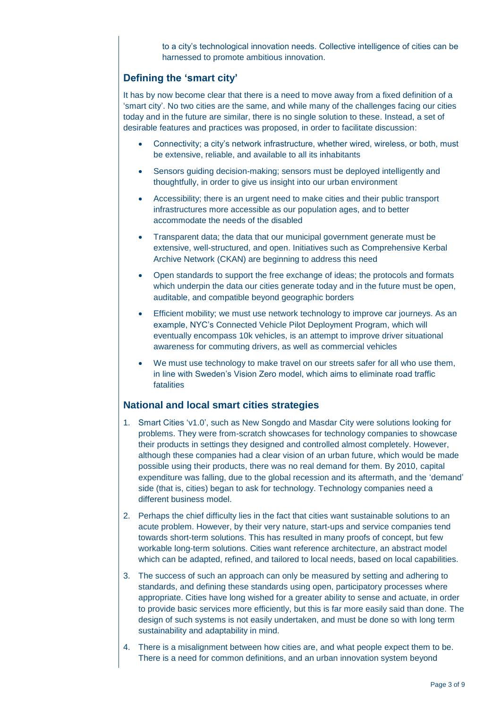to a city's technological innovation needs. Collective intelligence of cities can be harnessed to promote ambitious innovation.

# **Defining the 'smart city'**

It has by now become clear that there is a need to move away from a fixed definition of a 'smart city'. No two cities are the same, and while many of the challenges facing our cities today and in the future are similar, there is no single solution to these. Instead, a set of desirable features and practices was proposed, in order to facilitate discussion:

- Connectivity; a city's network infrastructure, whether wired, wireless, or both, must be extensive, reliable, and available to all its inhabitants
- Sensors guiding decision-making; sensors must be deployed intelligently and thoughtfully, in order to give us insight into our urban environment
- Accessibility; there is an urgent need to make cities and their public transport infrastructures more accessible as our population ages, and to better accommodate the needs of the disabled
- Transparent data; the data that our municipal government generate must be extensive, well-structured, and open. Initiatives such as Comprehensive Kerbal Archive Network (CKAN) are beginning to address this need
- Open standards to support the free exchange of ideas; the protocols and formats which underpin the data our cities generate today and in the future must be open, auditable, and compatible beyond geographic borders
- Efficient mobility; we must use network technology to improve car journeys. As an example, NYC's Connected Vehicle Pilot Deployment Program, which will eventually encompass 10k vehicles, is an attempt to improve driver situational awareness for commuting drivers, as well as commercial vehicles
- We must use technology to make travel on our streets safer for all who use them, in line with Sweden's Vision Zero model, which aims to eliminate road traffic fatalities

# **National and local smart cities strategies**

- 1. Smart Cities 'v1.0', such as New Songdo and Masdar City were solutions looking for problems. They were from-scratch showcases for technology companies to showcase their products in settings they designed and controlled almost completely. However, although these companies had a clear vision of an urban future, which would be made possible using their products, there was no real demand for them. By 2010, capital expenditure was falling, due to the global recession and its aftermath, and the 'demand' side (that is, cities) began to ask for technology. Technology companies need a different business model.
- 2. Perhaps the chief difficulty lies in the fact that cities want sustainable solutions to an acute problem. However, by their very nature, start-ups and service companies tend towards short-term solutions. This has resulted in many proofs of concept, but few workable long-term solutions. Cities want reference architecture, an abstract model which can be adapted, refined, and tailored to local needs, based on local capabilities.
- 3. The success of such an approach can only be measured by setting and adhering to standards, and defining these standards using open, participatory processes where appropriate. Cities have long wished for a greater ability to sense and actuate, in order to provide basic services more efficiently, but this is far more easily said than done. The design of such systems is not easily undertaken, and must be done so with long term sustainability and adaptability in mind.
- 4. There is a misalignment between how cities are, and what people expect them to be. There is a need for common definitions, and an urban innovation system beyond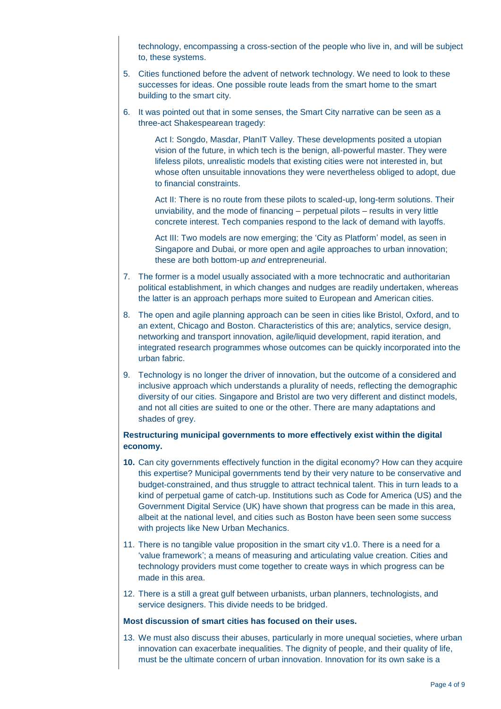technology, encompassing a cross-section of the people who live in, and will be subject to, these systems.

- 5. Cities functioned before the advent of network technology. We need to look to these successes for ideas. One possible route leads from the smart home to the smart building to the smart city.
- 6. It was pointed out that in some senses, the Smart City narrative can be seen as a three-act Shakespearean tragedy:

Act I: Songdo, Masdar, PlanIT Valley. These developments posited a utopian vision of the future, in which tech is the benign, all-powerful master. They were lifeless pilots, unrealistic models that existing cities were not interested in, but whose often unsuitable innovations they were nevertheless obliged to adopt, due to financial constraints.

Act II: There is no route from these pilots to scaled-up, long-term solutions. Their unviability, and the mode of financing – perpetual pilots – results in very little concrete interest. Tech companies respond to the lack of demand with layoffs.

Act III: Two models are now emerging; the 'City as Platform' model, as seen in Singapore and Dubai, or more open and agile approaches to urban innovation; these are both bottom-up *and* entrepreneurial.

- 7. The former is a model usually associated with a more technocratic and authoritarian political establishment, in which changes and nudges are readily undertaken, whereas the latter is an approach perhaps more suited to European and American cities.
- 8. The open and agile planning approach can be seen in cities like Bristol, Oxford, and to an extent, Chicago and Boston. Characteristics of this are; analytics, service design, networking and transport innovation, agile/liquid development, rapid iteration, and integrated research programmes whose outcomes can be quickly incorporated into the urban fabric.
- 9. Technology is no longer the driver of innovation, but the outcome of a considered and inclusive approach which understands a plurality of needs, reflecting the demographic diversity of our cities. Singapore and Bristol are two very different and distinct models, and not all cities are suited to one or the other. There are many adaptations and shades of grey.

#### **Restructuring municipal governments to more effectively exist within the digital economy.**

- **10.** Can city governments effectively function in the digital economy? How can they acquire this expertise? Municipal governments tend by their very nature to be conservative and budget-constrained, and thus struggle to attract technical talent. This in turn leads to a kind of perpetual game of catch-up. Institutions such as Code for America (US) and the Government Digital Service (UK) have shown that progress can be made in this area, albeit at the national level, and cities such as Boston have been seen some success with projects like New Urban Mechanics.
- 11. There is no tangible value proposition in the smart city v1.0. There is a need for a 'value framework'; a means of measuring and articulating value creation. Cities and technology providers must come together to create ways in which progress can be made in this area.
- 12. There is a still a great gulf between urbanists, urban planners, technologists, and service designers. This divide needs to be bridged.

#### **Most discussion of smart cities has focused on their uses.**

13. We must also discuss their abuses, particularly in more unequal societies, where urban innovation can exacerbate inequalities. The dignity of people, and their quality of life, must be the ultimate concern of urban innovation. Innovation for its own sake is a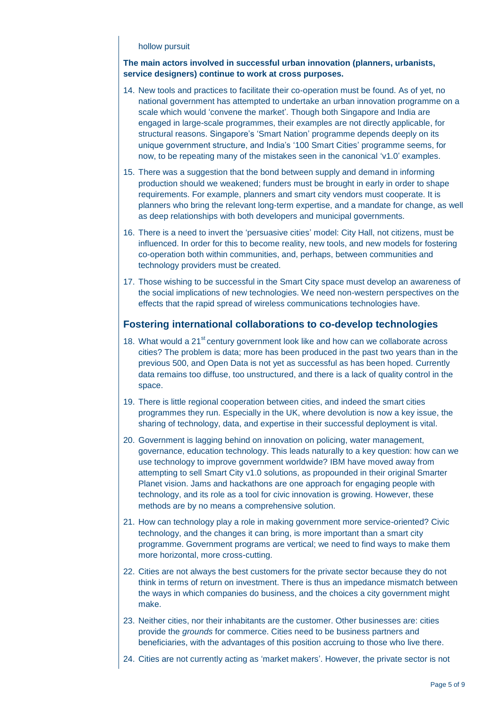#### hollow pursuit

#### **The main actors involved in successful urban innovation (planners, urbanists, service designers) continue to work at cross purposes.**

- 14. New tools and practices to facilitate their co-operation must be found. As of yet, no national government has attempted to undertake an urban innovation programme on a scale which would 'convene the market'. Though both Singapore and India are engaged in large-scale programmes, their examples are not directly applicable, for structural reasons. Singapore's 'Smart Nation' programme depends deeply on its unique government structure, and India's '100 Smart Cities' programme seems, for now, to be repeating many of the mistakes seen in the canonical 'v1.0' examples.
- 15. There was a suggestion that the bond between supply and demand in informing production should we weakened; funders must be brought in early in order to shape requirements. For example, planners and smart city vendors must cooperate. It is planners who bring the relevant long-term expertise, and a mandate for change, as well as deep relationships with both developers and municipal governments.
- 16. There is a need to invert the 'persuasive cities' model: City Hall, not citizens, must be influenced. In order for this to become reality, new tools, and new models for fostering co-operation both within communities, and, perhaps, between communities and technology providers must be created.
- 17. Those wishing to be successful in the Smart City space must develop an awareness of the social implications of new technologies. We need non-western perspectives on the effects that the rapid spread of wireless communications technologies have.

#### **Fostering international collaborations to co-develop technologies**

- 18. What would a  $21^{st}$  century government look like and how can we collaborate across cities? The problem is data; more has been produced in the past two years than in the previous 500, and Open Data is not yet as successful as has been hoped. Currently data remains too diffuse, too unstructured, and there is a lack of quality control in the space.
- 19. There is little regional cooperation between cities, and indeed the smart cities programmes they run. Especially in the UK, where devolution is now a key issue, the sharing of technology, data, and expertise in their successful deployment is vital.
- 20. Government is lagging behind on innovation on policing, water management, governance, education technology. This leads naturally to a key question: how can we use technology to improve government worldwide? IBM have moved away from attempting to sell Smart City v1.0 solutions, as propounded in their original Smarter Planet vision. Jams and hackathons are one approach for engaging people with technology, and its role as a tool for civic innovation is growing. However, these methods are by no means a comprehensive solution.
- 21. How can technology play a role in making government more service-oriented? Civic technology, and the changes it can bring, is more important than a smart city programme. Government programs are vertical; we need to find ways to make them more horizontal, more cross-cutting.
- 22. Cities are not always the best customers for the private sector because they do not think in terms of return on investment. There is thus an impedance mismatch between the ways in which companies do business, and the choices a city government might make.
- 23. Neither cities, nor their inhabitants are the customer. Other businesses are: cities provide the *grounds* for commerce. Cities need to be business partners and beneficiaries, with the advantages of this position accruing to those who live there.
- 24. Cities are not currently acting as 'market makers'. However, the private sector is not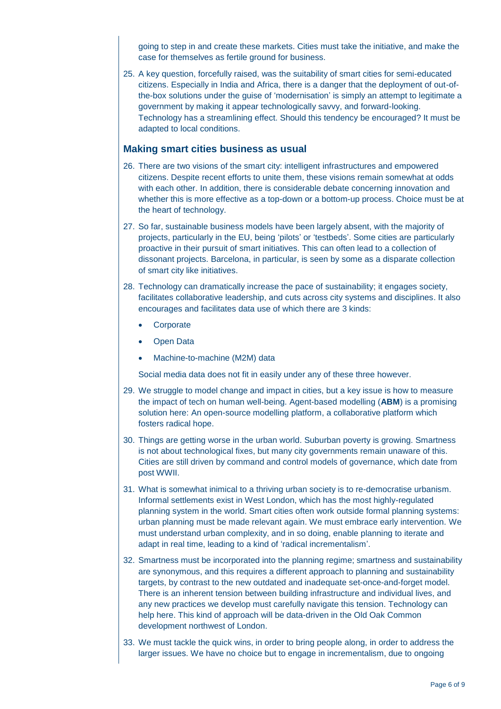going to step in and create these markets. Cities must take the initiative, and make the case for themselves as fertile ground for business.

25. A key question, forcefully raised, was the suitability of smart cities for semi-educated citizens. Especially in India and Africa, there is a danger that the deployment of out-ofthe-box solutions under the guise of 'modernisation' is simply an attempt to legitimate a government by making it appear technologically savvy, and forward-looking. Technology has a streamlining effect. Should this tendency be encouraged? It must be adapted to local conditions.

#### **Making smart cities business as usual**

- 26. There are two visions of the smart city: intelligent infrastructures and empowered citizens. Despite recent efforts to unite them, these visions remain somewhat at odds with each other. In addition, there is considerable debate concerning innovation and whether this is more effective as a top-down or a bottom-up process. Choice must be at the heart of technology.
- 27. So far, sustainable business models have been largely absent, with the majority of projects, particularly in the EU, being 'pilots' or 'testbeds'. Some cities are particularly proactive in their pursuit of smart initiatives. This can often lead to a collection of dissonant projects. Barcelona, in particular, is seen by some as a disparate collection of smart city like initiatives.
- 28. Technology can dramatically increase the pace of sustainability; it engages society, facilitates collaborative leadership, and cuts across city systems and disciplines. It also encourages and facilitates data use of which there are 3 kinds:
	- **Corporate**
	- Open Data
	- Machine-to-machine (M2M) data

Social media data does not fit in easily under any of these three however.

- 29. We struggle to model change and impact in cities, but a key issue is how to measure the impact of tech on human well-being. Agent-based modelling (**ABM**) is a promising solution here: An open-source modelling platform, a collaborative platform which fosters radical hope.
- 30. Things are getting worse in the urban world. Suburban poverty is growing. Smartness is not about technological fixes, but many city governments remain unaware of this. Cities are still driven by command and control models of governance, which date from post WWII.
- 31. What is somewhat inimical to a thriving urban society is to re-democratise urbanism. Informal settlements exist in West London, which has the most highly-regulated planning system in the world. Smart cities often work outside formal planning systems: urban planning must be made relevant again. We must embrace early intervention. We must understand urban complexity, and in so doing, enable planning to iterate and adapt in real time, leading to a kind of 'radical incrementalism'.
- 32. Smartness must be incorporated into the planning regime; smartness and sustainability are synonymous, and this requires a different approach to planning and sustainability targets, by contrast to the new outdated and inadequate set-once-and-forget model. There is an inherent tension between building infrastructure and individual lives, and any new practices we develop must carefully navigate this tension. Technology can help here. This kind of approach will be data-driven in the Old Oak Common development northwest of London.
- 33. We must tackle the quick wins, in order to bring people along, in order to address the larger issues. We have no choice but to engage in incrementalism, due to ongoing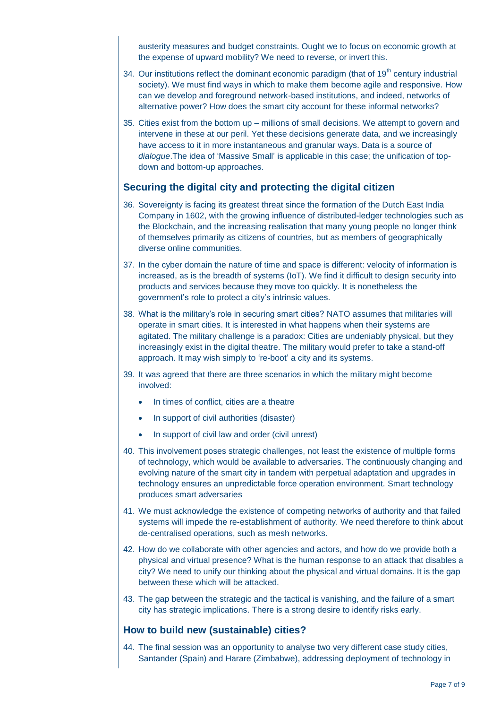austerity measures and budget constraints. Ought we to focus on economic growth at the expense of upward mobility? We need to reverse, or invert this.

- 34. Our institutions reflect the dominant economic paradigm (that of  $19<sup>th</sup>$  century industrial society). We must find ways in which to make them become agile and responsive. How can we develop and foreground network-based institutions, and indeed, networks of alternative power? How does the smart city account for these informal networks?
- 35. Cities exist from the bottom up millions of small decisions. We attempt to govern and intervene in these at our peril. Yet these decisions generate data, and we increasingly have access to it in more instantaneous and granular ways. Data is a source of *dialogue*.The idea of 'Massive Small' is applicable in this case; the unification of topdown and bottom-up approaches.

# **Securing the digital city and protecting the digital citizen**

- 36. Sovereignty is facing its greatest threat since the formation of the Dutch East India Company in 1602, with the growing influence of distributed-ledger technologies such as the Blockchain, and the increasing realisation that many young people no longer think of themselves primarily as citizens of countries, but as members of geographically diverse online communities.
- 37. In the cyber domain the nature of time and space is different: velocity of information is increased, as is the breadth of systems (IoT). We find it difficult to design security into products and services because they move too quickly. It is nonetheless the government's role to protect a city's intrinsic values.
- 38. What is the military's role in securing smart cities? NATO assumes that militaries will operate in smart cities. It is interested in what happens when their systems are agitated. The military challenge is a paradox: Cities are undeniably physical, but they increasingly exist in the digital theatre. The military would prefer to take a stand-off approach. It may wish simply to 're-boot' a city and its systems.
- 39. It was agreed that there are three scenarios in which the military might become involved:
	- In times of conflict, cities are a theatre
	- In support of civil authorities (disaster)
	- In support of civil law and order (civil unrest)
- 40. This involvement poses strategic challenges, not least the existence of multiple forms of technology, which would be available to adversaries. The continuously changing and evolving nature of the smart city in tandem with perpetual adaptation and upgrades in technology ensures an unpredictable force operation environment. Smart technology produces smart adversaries
- 41. We must acknowledge the existence of competing networks of authority and that failed systems will impede the re-establishment of authority. We need therefore to think about de-centralised operations, such as mesh networks.
- 42. How do we collaborate with other agencies and actors, and how do we provide both a physical and virtual presence? What is the human response to an attack that disables a city? We need to unify our thinking about the physical and virtual domains. It is the gap between these which will be attacked.
- 43. The gap between the strategic and the tactical is vanishing, and the failure of a smart city has strategic implications. There is a strong desire to identify risks early.

### **How to build new (sustainable) cities?**

44. The final session was an opportunity to analyse two very different case study cities, Santander (Spain) and Harare (Zimbabwe), addressing deployment of technology in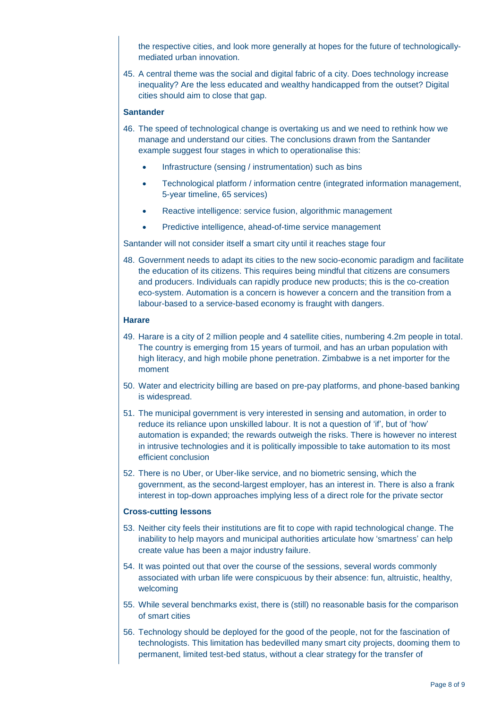the respective cities, and look more generally at hopes for the future of technologicallymediated urban innovation.

45. A central theme was the social and digital fabric of a city. Does technology increase inequality? Are the less educated and wealthy handicapped from the outset? Digital cities should aim to close that gap.

#### **Santander**

- 46. The speed of technological change is overtaking us and we need to rethink how we manage and understand our cities. The conclusions drawn from the Santander example suggest four stages in which to operationalise this:
	- Infrastructure (sensing / instrumentation) such as bins
	- Technological platform / information centre (integrated information management, 5-year timeline, 65 services)
	- Reactive intelligence: service fusion, algorithmic management
	- Predictive intelligence, ahead-of-time service management

Santander will not consider itself a smart city until it reaches stage four

48. Government needs to adapt its cities to the new socio-economic paradigm and facilitate the education of its citizens. This requires being mindful that citizens are consumers and producers. Individuals can rapidly produce new products; this is the co-creation eco-system. Automation is a concern is however a concern and the transition from a labour-based to a service-based economy is fraught with dangers.

#### **Harare**

- 49. Harare is a city of 2 million people and 4 satellite cities, numbering 4.2m people in total. The country is emerging from 15 years of turmoil, and has an urban population with high literacy, and high mobile phone penetration. Zimbabwe is a net importer for the moment
- 50. Water and electricity billing are based on pre-pay platforms, and phone-based banking is widespread.
- 51. The municipal government is very interested in sensing and automation, in order to reduce its reliance upon unskilled labour. It is not a question of 'if', but of 'how' automation is expanded; the rewards outweigh the risks. There is however no interest in intrusive technologies and it is politically impossible to take automation to its most efficient conclusion
- 52. There is no Uber, or Uber-like service, and no biometric sensing, which the government, as the second-largest employer, has an interest in. There is also a frank interest in top-down approaches implying less of a direct role for the private sector

#### **Cross-cutting lessons**

- 53. Neither city feels their institutions are fit to cope with rapid technological change. The inability to help mayors and municipal authorities articulate how 'smartness' can help create value has been a major industry failure.
- 54. It was pointed out that over the course of the sessions, several words commonly associated with urban life were conspicuous by their absence: fun, altruistic, healthy, welcoming
- 55. While several benchmarks exist, there is (still) no reasonable basis for the comparison of smart cities
- 56. Technology should be deployed for the good of the people, not for the fascination of technologists. This limitation has bedevilled many smart city projects, dooming them to permanent, limited test-bed status, without a clear strategy for the transfer of